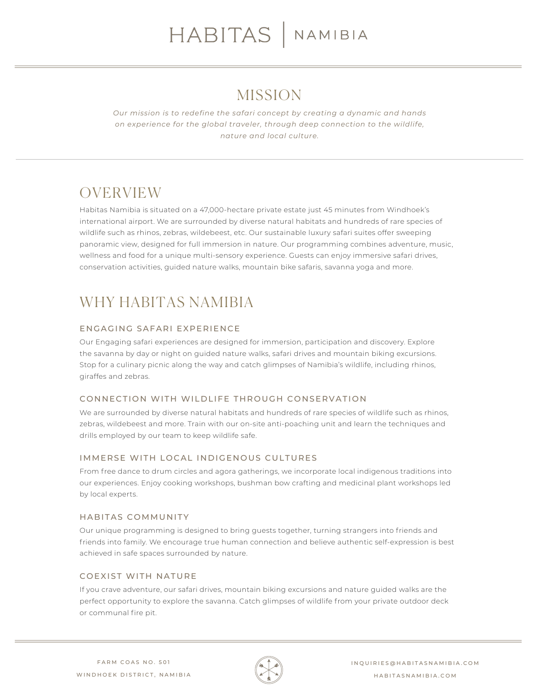### MISSION

*Our mission is to redefine the safari concept by creating a dynamic and hands on experience for the global traveler, through deep connection to the wildlife, nature and local culture.*

# OVERVIEW

Habitas Namibia is situated on a 47,000-hectare private estate just 45 minutes from Windhoek's international airport. We are surrounded by diverse natural habitats and hundreds of rare species of wildlife such as rhinos, zebras, wildebeest, etc. Our sustainable luxury safari suites offer sweeping panoramic view, designed for full immersion in nature. Our programming combines adventure, music, wellness and food for a unique multi-sensory experience. Guests can enjoy immersive safari drives, conservation activities, guided nature walks, mountain bike safaris, savanna yoga and more.

# WHY HABITAS NAMIBIA

### ENGAGING SAFARI EXPERIENCE

Our Engaging safari experiences are designed for immersion, participation and discovery. Explore the savanna by day or night on guided nature walks, safari drives and mountain biking excursions. Stop for a culinary picnic along the way and catch glimpses of Namibia's wildlife, including rhinos, giraffes and zebras.

### CONNECTION WITH WILDLIFE THROUGH CONSERVATION

We are surrounded by diverse natural habitats and hundreds of rare species of wildlife such as rhinos, zebras, wildebeest and more. Train with our on-site anti-poaching unit and learn the techniques and drills employed by our team to keep wildlife safe.

### IMMERSE WITH LOCAL INDIGENOUS CULTURES

From free dance to drum circles and agora gatherings, we incorporate local indigenous traditions into our experiences. Enjoy cooking workshops, bushman bow crafting and medicinal plant workshops led by local experts.

### HABITAS COMMUNITY

Our unique programming is designed to bring guests together, turning strangers into friends and friends into family. We encourage true human connection and believe authentic self-expression is best achieved in safe spaces surrounded by nature.

### COEXIST WITH NATURE

If you crave adventure, our safari drives, mountain biking excursions and nature guided walks are the perfect opportunity to explore the savanna. Catch glimpses of wildlife from your private outdoor deck or communal fire pit.

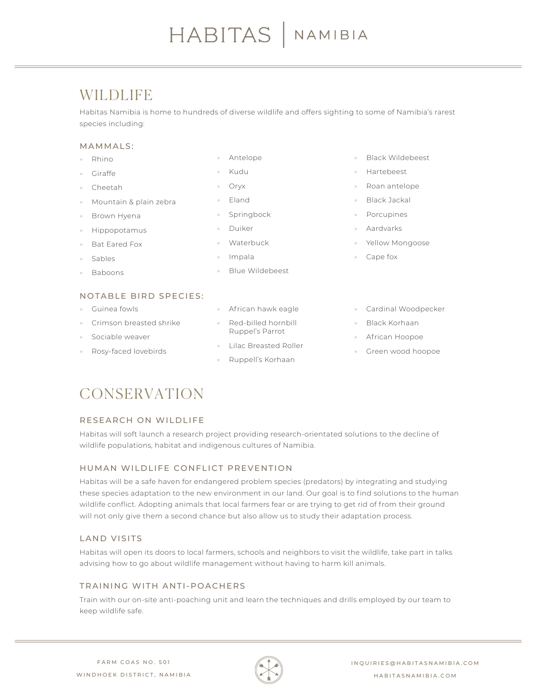### WILDLIFE

Habitas Namibia is home to hundreds of diverse wildlife and offers sighting to some of Namibia's rarest species including:

### MAMMALS:

- Rhino
- Giraffe
- Cheetah
- Mountain & plain zebra
- Brown Hyena
- Hippopotamus
- Bat Eared Fox
- Sables
- Baboons

### • Antelope

- Kudu
- Oryx
- Eland
- **Springbock**
- Duiker
- Waterbuck
- Impala
- Blue Wildebeest
- Black Wildebeest
- Hartebeest
- Roan antelope
- Black Jackal
- **Porcupines**
- Aardvarks
- Yellow Mongoose
- Cape fox

- NOTABLE BIRD SPECIES:
- Guinea fowls
- Crimson breasted shrike
- Sociable weaver
- Rosy-faced lovebirds
- African hawk eagle
- Red-billed hornbill Ruppel's Parrot
- Lilac Breasted Roller
- Ruppell's Korhaan
- Cardinal Woodpecker
- Black Korhaan
- African Hoopoe
- Green wood hoopoe

### CONSERVATION

### RESEARCH ON WILDLIFE

Habitas will soft launch a research project providing research-orientated solutions to the decline of wildlife populations, habitat and indigenous cultures of Namibia.

### HUMAN WILDLIFE CONFLICT PREVENTION

Habitas will be a safe haven for endangered problem species (predators) by integrating and studying these species adaptation to the new environment in our land. Our goal is to find solutions to the human wildlife conflict. Adopting animals that local farmers fear or are trying to get rid of from their ground will not only give them a second chance but also allow us to study their adaptation process.

### LAND VISITS

Habitas will open its doors to local farmers, schools and neighbors to visit the wildlife, take part in talks advising how to go about wildlife management without having to harm kill animals.

### TRAINING WITH ANTI-POACHERS

Train with our on-site anti-poaching unit and learn the techniques and drills employed by our team to keep wildlife safe.

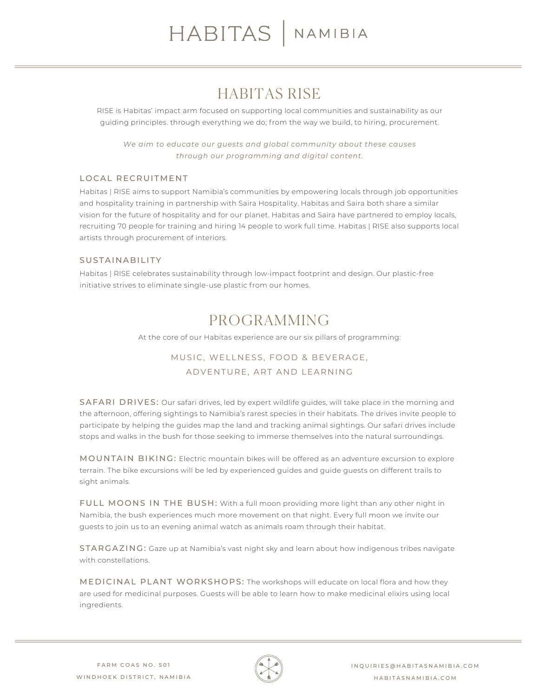### HABITAS RISE

RISE is Habitas' impact arm focused on supporting local communities and sustainability as our guiding principles. through everything we do; from the way we build, to hiring, procurement.

*We aim to educate our guests and global community about these causes through our programming and digital content.*

### LOCAL RECRUITMENT

Habitas | RISE aims to support Namibia's communities by empowering locals through job opportunities and hospitality training in partnership with Saira Hospitality. Habitas and Saira both share a similar vision for the future of hospitality and for our planet. Habitas and Saira have partnered to employ locals, recruiting 70 people for training and hiring 14 people to work full time. Habitas | RISE also supports local artists through procurement of interiors.

### SUSTAINABILITY

Habitas | RISE celebrates sustainability through low-impact footprint and design. Our plastic-free initiative strives to eliminate single-use plastic from our homes.

### PROGRAMMING

At the core of our Habitas experience are our six pillars of programming:

### MUSIC, WELLNESS, FOOD & BEVERAGE, ADVENTURE, ART AND LEARNING

SAFARI DRIVES: Our safari drives, led by expert wildlife guides, will take place in the morning and the afternoon, offering sightings to Namibia's rarest species in their habitats. The drives invite people to participate by helping the guides map the land and tracking animal sightings. Our safari drives include stops and walks in the bush for those seeking to immerse themselves into the natural surroundings.

MOUNTAIN BIKING: Electric mountain bikes will be offered as an adventure excursion to explore terrain. The bike excursions will be led by experienced guides and guide guests on different trails to sight animals.

FULL MOONS IN THE BUSH: With a full moon providing more light than any other night in Namibia, the bush experiences much more movement on that night. Every full moon we invite our guests to join us to an evening animal watch as animals roam through their habitat.

STARGAZING: Gaze up at Namibia's vast night sky and learn about how indigenous tribes navigate with constellations.

MEDICINAL PLANT WORKSHOPS: The workshops will educate on local flora and how they are used for medicinal purposes. Guests will be able to learn how to make medicinal elixirs using local ingredients.

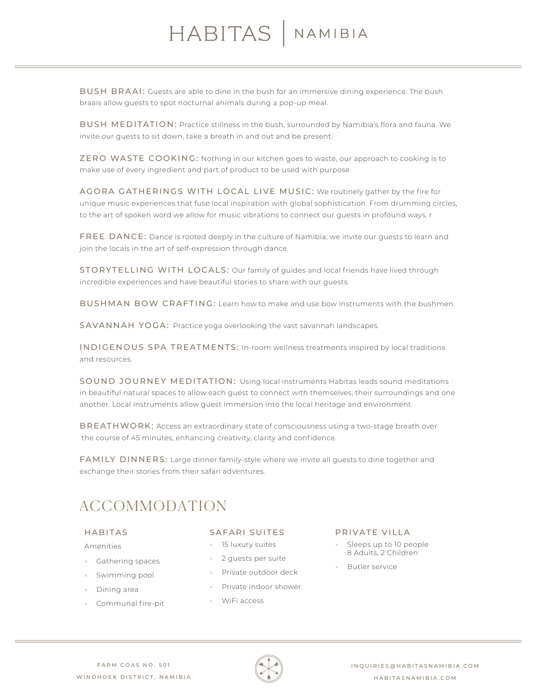# HABITAS | NAMIBIA

BUSH BRAAI: Guests are able to dine in the bush for an immersive dining experience. The bush braais allow guests to spot nocturnal animals during a pop-up meal.

BUSH MEDITATION: Practice stillness in the bush, surrounded by Namibia's flora and fauna. We invite our guests to sit down, take a breath in and out and be present.

ZERO WASTE COOKING: Nothing in our kitchen goes to waste, our approach to cooking is to make use of every ingredient and part of product to be used with purpose.

AGORA GATHERINGS WITH LOCAL LIVE MUSIC: We routinely gather by the fire for unique music experiences that fuse local inspiration with global sophistication. From drumming circles, to the art of spoken word we allow for music vibrations to connect our guests in profound ways. r

FREE DANCE: Dance is rooted deeply in the culture of Namibia; we invite our guests to learn and join the locals in the art of self-expression through dance.

STORYTELLING WITH LOCALS: Our family of guides and local friends have lived through incredible experiences and have beautiful stories to share with our guests.

BUSHMAN BOW CRAFTING: Learn how to make and use bow instruments with the bushmen.

SAVANNAH YOGA: Practice yoga overlooking the vast savannah landscapes.

INDIGENOUS SPA TREATMENTS: In-room wellness treatments inspired by local traditions and resources.

SOUND JOURNEY MEDITATION: Using local instruments Habitas leads sound meditations in beautiful natural spaces to allow each guest to connect with themselves, their surroundings and one another. Local instruments allow guest immersion into the local heritage and environment.

BREATHWORK: Access an extraordinary state of consciousness using a two-stage breath over the course of 45 minutes, enhancing creativity, clarity and confidence.

FAMILY DINNERS: Large dinner family-style where we invite all guests to dine together and exchange their stories from their safari adventures.

## ACCOMMODATION

### HABITAS

Amenities

- Gathering spaces
- Swimming pool
- Dining area
- Communal fire-pit

#### SAFARI SUITES

- 15 luxury suites
- 2 guests per suite
- Private outdoor deck
- Private indoor shower
- WiFi access

#### PRIVATE VILLA

- Sleeps up to 10 people 8 Adults, 2 Children
- Butler service

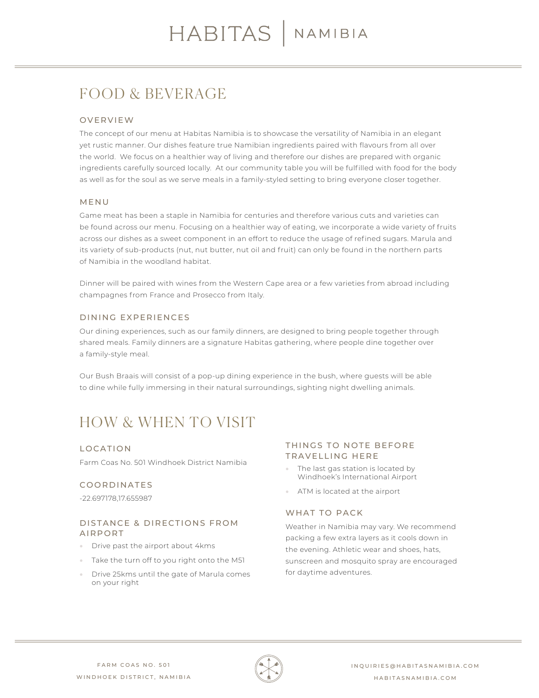# FOOD & BEVERAGE

### OVERVIEW

The concept of our menu at Habitas Namibia is to showcase the versatility of Namibia in an elegant yet rustic manner. Our dishes feature true Namibian ingredients paired with flavours from all over the world. We focus on a healthier way of living and therefore our dishes are prepared with organic ingredients carefully sourced locally. At our community table you will be fulfilled with food for the body as well as for the soul as we serve meals in a family-styled setting to bring everyone closer together.

### MENU

Game meat has been a staple in Namibia for centuries and therefore various cuts and varieties can be found across our menu. Focusing on a healthier way of eating, we incorporate a wide variety of fruits across our dishes as a sweet component in an effort to reduce the usage of refined sugars. Marula and its variety of sub-products (nut, nut butter, nut oil and fruit) can only be found in the northern parts of Namibia in the woodland habitat.

Dinner will be paired with wines from the Western Cape area or a few varieties from abroad including champagnes from France and Prosecco from Italy.

### DINING EXPERIENCES

Our dining experiences, such as our family dinners, are designed to bring people together through shared meals. Family dinners are a signature Habitas gathering, where people dine together over a family-style meal.

Our Bush Braais will consist of a pop-up dining experience in the bush, where guests will be able to dine while fully immersing in their natural surroundings, sighting night dwelling animals.

# HOW & WHEN TO VISIT

### LOCATION

Farm Coas No. 501 Windhoek District Namibia

### COORDINATES

-22.697178,17.655987

### DISTANCE & DIRECTIONS FROM AIRPORT

- Drive past the airport about 4kms
- Take the turn off to you right onto the M51
- Drive 25kms until the gate of Marula comes on your right

### THINGS TO NOTE BEFORE TRAVELLING HERE

- The last gas station is located by Windhoek's International Airport
- ATM is located at the airport

### WHAT TO PACK

Weather in Namibia may vary. We recommend packing a few extra layers as it cools down in the evening. Athletic wear and shoes, hats, sunscreen and mosquito spray are encouraged for daytime adventures.